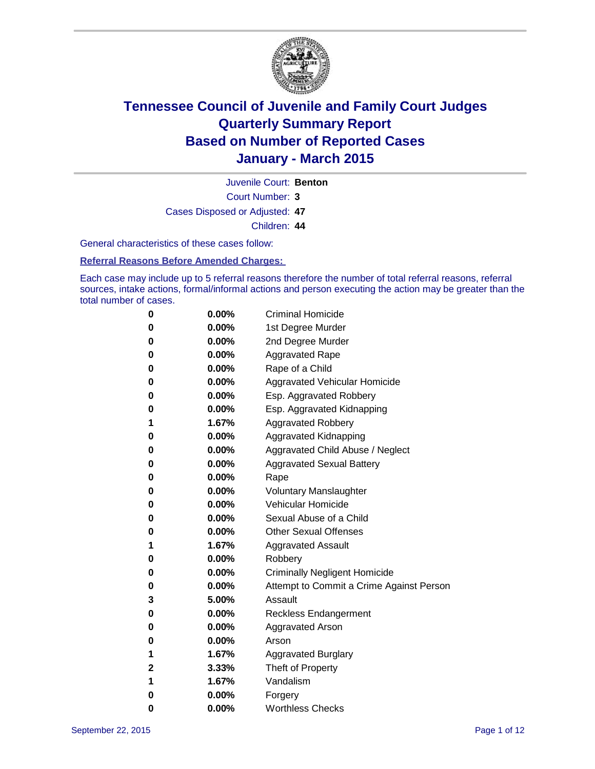

Court Number: **3** Juvenile Court: **Benton** Cases Disposed or Adjusted: **47** Children: **44**

General characteristics of these cases follow:

**Referral Reasons Before Amended Charges:** 

Each case may include up to 5 referral reasons therefore the number of total referral reasons, referral sources, intake actions, formal/informal actions and person executing the action may be greater than the total number of cases.

| 0           | $0.00\%$ | <b>Criminal Homicide</b>                 |
|-------------|----------|------------------------------------------|
| 0           | $0.00\%$ | 1st Degree Murder                        |
| 0           | $0.00\%$ | 2nd Degree Murder                        |
| 0           | $0.00\%$ | <b>Aggravated Rape</b>                   |
| 0           | $0.00\%$ | Rape of a Child                          |
| 0           | $0.00\%$ | Aggravated Vehicular Homicide            |
| 0           | $0.00\%$ | Esp. Aggravated Robbery                  |
| 0           | $0.00\%$ | Esp. Aggravated Kidnapping               |
| 1           | 1.67%    | <b>Aggravated Robbery</b>                |
| 0           | $0.00\%$ | <b>Aggravated Kidnapping</b>             |
| 0           | $0.00\%$ | Aggravated Child Abuse / Neglect         |
| 0           | $0.00\%$ | <b>Aggravated Sexual Battery</b>         |
| 0           | $0.00\%$ | Rape                                     |
| 0           | $0.00\%$ | <b>Voluntary Manslaughter</b>            |
| 0           | $0.00\%$ | <b>Vehicular Homicide</b>                |
| 0           | $0.00\%$ | Sexual Abuse of a Child                  |
| 0           | $0.00\%$ | <b>Other Sexual Offenses</b>             |
| 1           | 1.67%    | <b>Aggravated Assault</b>                |
| 0           | $0.00\%$ | Robbery                                  |
| 0           | $0.00\%$ | <b>Criminally Negligent Homicide</b>     |
| 0           | $0.00\%$ | Attempt to Commit a Crime Against Person |
| 3           | 5.00%    | Assault                                  |
| 0           | $0.00\%$ | <b>Reckless Endangerment</b>             |
| 0           | $0.00\%$ | Aggravated Arson                         |
| 0           | $0.00\%$ | Arson                                    |
| 1           | 1.67%    | <b>Aggravated Burglary</b>               |
| $\mathbf 2$ | 3.33%    | Theft of Property                        |
| 1           | 1.67%    | Vandalism                                |
| 0           | $0.00\%$ | Forgery                                  |
| 0           | 0.00%    | <b>Worthless Checks</b>                  |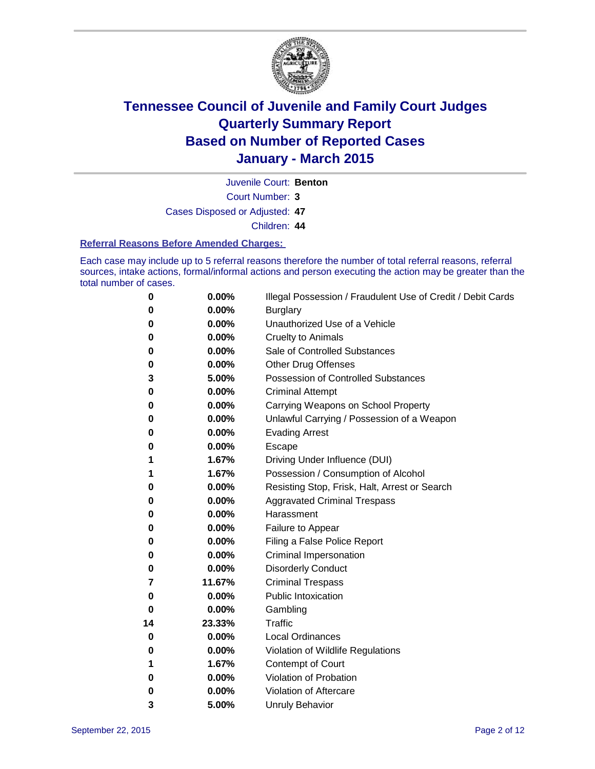

Juvenile Court: **Benton**

Court Number: **3**

Cases Disposed or Adjusted: **47**

Children: **44**

### **Referral Reasons Before Amended Charges:**

Each case may include up to 5 referral reasons therefore the number of total referral reasons, referral sources, intake actions, formal/informal actions and person executing the action may be greater than the total number of cases.

| 0        | 0.00%  | Illegal Possession / Fraudulent Use of Credit / Debit Cards |
|----------|--------|-------------------------------------------------------------|
| 0        | 0.00%  | <b>Burglary</b>                                             |
| 0        | 0.00%  | Unauthorized Use of a Vehicle                               |
| 0        | 0.00%  | <b>Cruelty to Animals</b>                                   |
| 0        | 0.00%  | Sale of Controlled Substances                               |
| 0        | 0.00%  | <b>Other Drug Offenses</b>                                  |
| 3        | 5.00%  | <b>Possession of Controlled Substances</b>                  |
| 0        | 0.00%  | <b>Criminal Attempt</b>                                     |
| 0        | 0.00%  | Carrying Weapons on School Property                         |
| 0        | 0.00%  | Unlawful Carrying / Possession of a Weapon                  |
| 0        | 0.00%  | <b>Evading Arrest</b>                                       |
| 0        | 0.00%  | Escape                                                      |
| 1        | 1.67%  | Driving Under Influence (DUI)                               |
| 1        | 1.67%  | Possession / Consumption of Alcohol                         |
| 0        | 0.00%  | Resisting Stop, Frisk, Halt, Arrest or Search               |
| 0        | 0.00%  | <b>Aggravated Criminal Trespass</b>                         |
| 0        | 0.00%  | Harassment                                                  |
| 0        | 0.00%  | Failure to Appear                                           |
| 0        | 0.00%  | Filing a False Police Report                                |
| 0        | 0.00%  | <b>Criminal Impersonation</b>                               |
| 0        | 0.00%  | <b>Disorderly Conduct</b>                                   |
| 7        | 11.67% | <b>Criminal Trespass</b>                                    |
| $\bf{0}$ | 0.00%  | <b>Public Intoxication</b>                                  |
| 0        | 0.00%  | Gambling                                                    |
| 14       | 23.33% | <b>Traffic</b>                                              |
| 0        | 0.00%  | <b>Local Ordinances</b>                                     |
| 0        | 0.00%  | Violation of Wildlife Regulations                           |
| 1        | 1.67%  | Contempt of Court                                           |
| 0        | 0.00%  | Violation of Probation                                      |
| 0        | 0.00%  | Violation of Aftercare                                      |
| 3        | 5.00%  | <b>Unruly Behavior</b>                                      |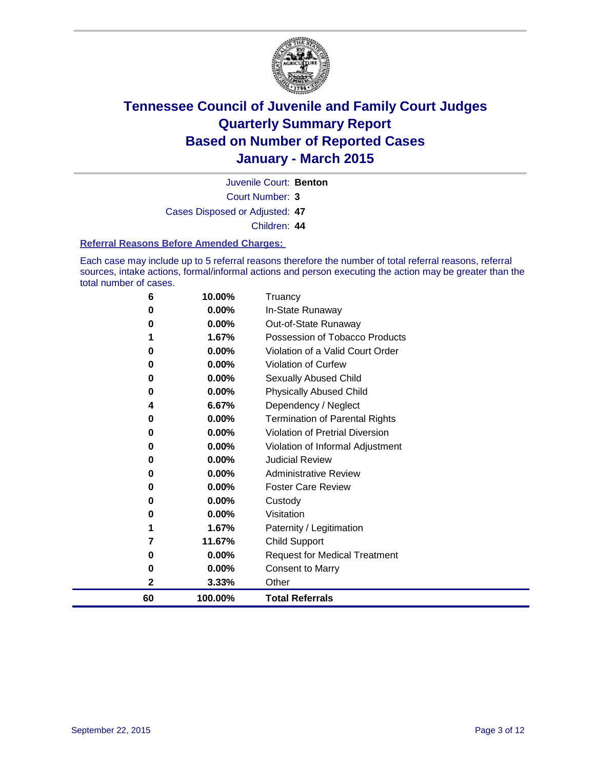

Juvenile Court: **Benton**

Court Number: **3**

Cases Disposed or Adjusted: **47**

Children: **44**

### **Referral Reasons Before Amended Charges:**

Each case may include up to 5 referral reasons therefore the number of total referral reasons, referral sources, intake actions, formal/informal actions and person executing the action may be greater than the total number of cases.

| 6  | 10.00%   | Truancy                               |
|----|----------|---------------------------------------|
| 0  | 0.00%    | In-State Runaway                      |
| 0  | $0.00\%$ | Out-of-State Runaway                  |
| 1  | 1.67%    | Possession of Tobacco Products        |
| 0  | $0.00\%$ | Violation of a Valid Court Order      |
| 0  | $0.00\%$ | Violation of Curfew                   |
| 0  | 0.00%    | Sexually Abused Child                 |
| 0  | 0.00%    | <b>Physically Abused Child</b>        |
| 4  | 6.67%    | Dependency / Neglect                  |
| 0  | $0.00\%$ | <b>Termination of Parental Rights</b> |
| 0  | 0.00%    | Violation of Pretrial Diversion       |
| 0  | 0.00%    | Violation of Informal Adjustment      |
| 0  | $0.00\%$ | <b>Judicial Review</b>                |
| 0  | $0.00\%$ | <b>Administrative Review</b>          |
| 0  | 0.00%    | <b>Foster Care Review</b>             |
| 0  | $0.00\%$ | Custody                               |
| 0  | $0.00\%$ | Visitation                            |
| 1  | 1.67%    | Paternity / Legitimation              |
| 7  | 11.67%   | Child Support                         |
| 0  | 0.00%    | <b>Request for Medical Treatment</b>  |
| 0  | 0.00%    | Consent to Marry                      |
| 2  | 3.33%    | Other                                 |
| 60 | 100.00%  | <b>Total Referrals</b>                |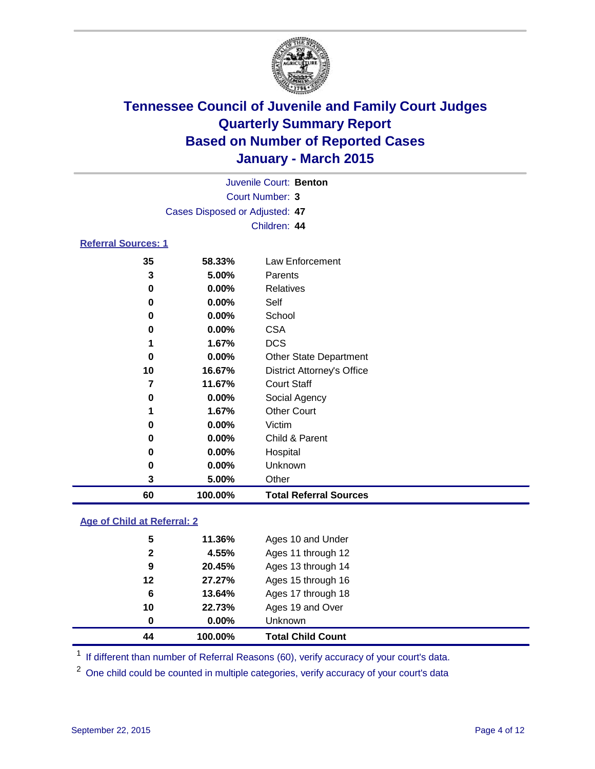

|                            |                                | Juvenile Court: Benton |                 |  |
|----------------------------|--------------------------------|------------------------|-----------------|--|
|                            |                                | Court Number: 3        |                 |  |
|                            | Cases Disposed or Adjusted: 47 |                        |                 |  |
|                            |                                | Children: 44           |                 |  |
| <b>Referral Sources: 1</b> |                                |                        |                 |  |
| 35                         | 58.33%                         |                        | Law Enforcement |  |

| 60 | 100.00%  | <b>Total Referral Sources</b>     |
|----|----------|-----------------------------------|
| 3  | 5.00%    | Other                             |
| 0  | $0.00\%$ | Unknown                           |
| 0  | 0.00%    | Hospital                          |
| 0  | $0.00\%$ | Child & Parent                    |
| 0  | 0.00%    | Victim                            |
| 1  | 1.67%    | <b>Other Court</b>                |
| 0  | $0.00\%$ | Social Agency                     |
| 7  | 11.67%   | <b>Court Staff</b>                |
| 10 | 16.67%   | <b>District Attorney's Office</b> |
| 0  | $0.00\%$ | <b>Other State Department</b>     |
|    | 1.67%    | <b>DCS</b>                        |
| 0  | $0.00\%$ | <b>CSA</b>                        |
| 0  | $0.00\%$ | School                            |
| 0  | $0.00\%$ | Self                              |
| 0  | 0.00%    | Relatives                         |
| 3  | 5.00%    | Parents                           |
| 35 | 58.33%   | Law Enforcement                   |

### **Age of Child at Referral: 2**

| 44           | 100.00%  | <b>Total Child Count</b> |
|--------------|----------|--------------------------|
| 0            | $0.00\%$ | Unknown                  |
| 10           | 22.73%   | Ages 19 and Over         |
| 6            | 13.64%   | Ages 17 through 18       |
| 12           | 27.27%   | Ages 15 through 16       |
| 9            | 20.45%   | Ages 13 through 14       |
| $\mathbf{2}$ | 4.55%    | Ages 11 through 12       |
| 5            | 11.36%   | Ages 10 and Under        |
|              |          |                          |

<sup>1</sup> If different than number of Referral Reasons (60), verify accuracy of your court's data.

One child could be counted in multiple categories, verify accuracy of your court's data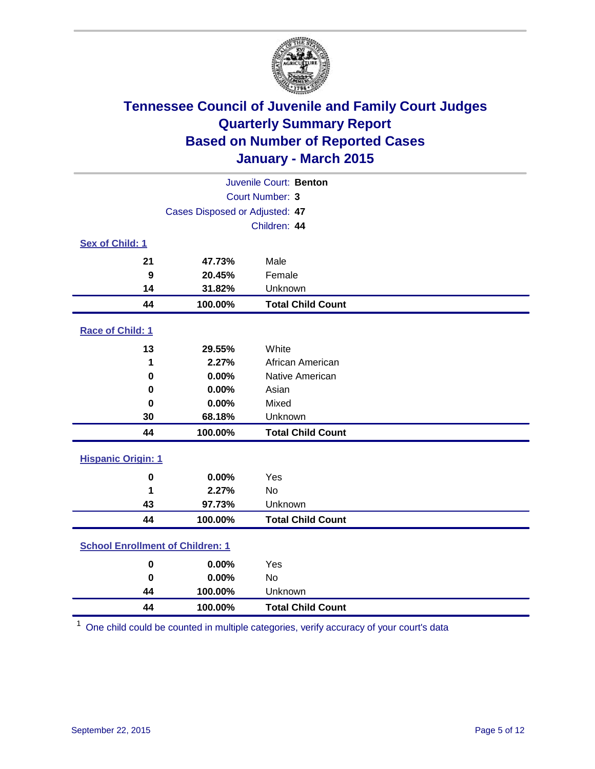

| Juvenile Court: Benton                  |                                |                          |  |
|-----------------------------------------|--------------------------------|--------------------------|--|
|                                         | Court Number: 3                |                          |  |
|                                         | Cases Disposed or Adjusted: 47 |                          |  |
|                                         |                                | Children: 44             |  |
| Sex of Child: 1                         |                                |                          |  |
| 21                                      | 47.73%                         | Male                     |  |
| 9                                       | 20.45%                         | Female                   |  |
| 14                                      | 31.82%                         | Unknown                  |  |
| 44                                      | 100.00%                        | <b>Total Child Count</b> |  |
| Race of Child: 1                        |                                |                          |  |
| 13                                      | 29.55%                         | White                    |  |
| 1                                       | 2.27%                          | African American         |  |
| 0                                       | 0.00%                          | Native American          |  |
| 0                                       | 0.00%                          | Asian                    |  |
| 0                                       | 0.00%                          | Mixed                    |  |
| 30                                      | 68.18%                         | Unknown                  |  |
| 44                                      | 100.00%                        | <b>Total Child Count</b> |  |
| <b>Hispanic Origin: 1</b>               |                                |                          |  |
| 0                                       | 0.00%                          | Yes                      |  |
| 1                                       | 2.27%                          | <b>No</b>                |  |
| 43                                      | 97.73%                         | Unknown                  |  |
| 44                                      | 100.00%                        | <b>Total Child Count</b> |  |
| <b>School Enrollment of Children: 1</b> |                                |                          |  |
| $\pmb{0}$                               | 0.00%                          | Yes                      |  |
| $\bf{0}$                                | 0.00%                          | <b>No</b>                |  |
| 44                                      | 100.00%                        | Unknown                  |  |
| 44                                      | 100.00%                        | <b>Total Child Count</b> |  |

One child could be counted in multiple categories, verify accuracy of your court's data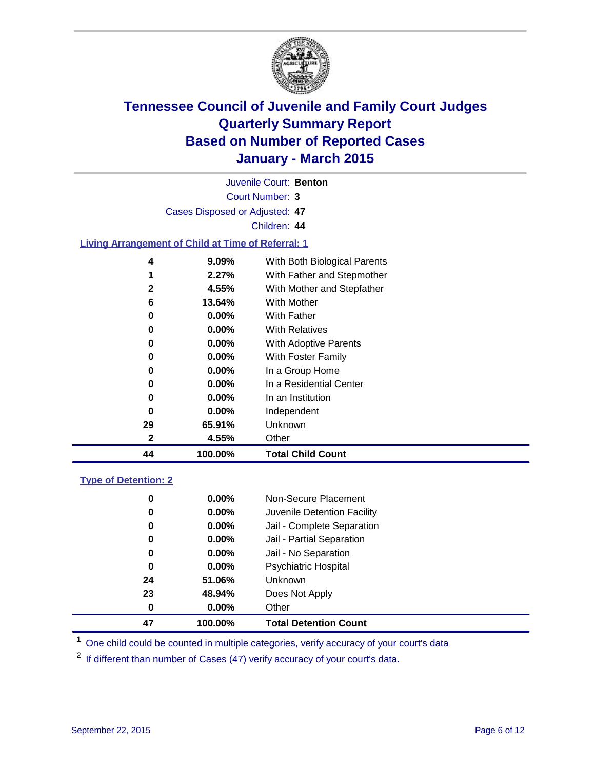

| 44           | 100.00%                                                   | <b>Total Child Count</b>     |  |  |  |
|--------------|-----------------------------------------------------------|------------------------------|--|--|--|
| 2            | 4.55%                                                     | Other                        |  |  |  |
| 29           | 65.91%                                                    | Unknown                      |  |  |  |
| 0            | $0.00\%$                                                  | Independent                  |  |  |  |
| 0            | $0.00\%$                                                  | In an Institution            |  |  |  |
| 0            | $0.00\%$                                                  | In a Residential Center      |  |  |  |
| 0            | $0.00\%$                                                  | In a Group Home              |  |  |  |
| 0            | $0.00\%$                                                  | With Foster Family           |  |  |  |
| 0            | $0.00\%$                                                  | <b>With Adoptive Parents</b> |  |  |  |
| 0            | $0.00\%$                                                  | <b>With Relatives</b>        |  |  |  |
| 0            | 0.00%                                                     | With Father                  |  |  |  |
| 6            | 13.64%                                                    | With Mother                  |  |  |  |
| $\mathbf{2}$ | 4.55%                                                     | With Mother and Stepfather   |  |  |  |
| 1            | 2.27%                                                     | With Father and Stepmother   |  |  |  |
| 4            | 9.09%                                                     | With Both Biological Parents |  |  |  |
|              | <b>Living Arrangement of Child at Time of Referral: 1</b> |                              |  |  |  |
|              |                                                           | Children: 44                 |  |  |  |
|              | Cases Disposed or Adjusted: 47                            |                              |  |  |  |
|              | <b>Court Number: 3</b>                                    |                              |  |  |  |
|              |                                                           |                              |  |  |  |
|              |                                                           | Juvenile Court: Benton       |  |  |  |

### **Type of Detention: 2**

| 47 | 100.00%  | <b>Total Detention Count</b> |
|----|----------|------------------------------|
| 0  | $0.00\%$ | Other                        |
| 23 | 48.94%   | Does Not Apply               |
| 24 | 51.06%   | <b>Unknown</b>               |
| 0  | $0.00\%$ | <b>Psychiatric Hospital</b>  |
| 0  | 0.00%    | Jail - No Separation         |
| 0  | 0.00%    | Jail - Partial Separation    |
| 0  | $0.00\%$ | Jail - Complete Separation   |
| 0  | 0.00%    | Juvenile Detention Facility  |
| 0  | $0.00\%$ | Non-Secure Placement         |

<sup>1</sup> One child could be counted in multiple categories, verify accuracy of your court's data

If different than number of Cases (47) verify accuracy of your court's data.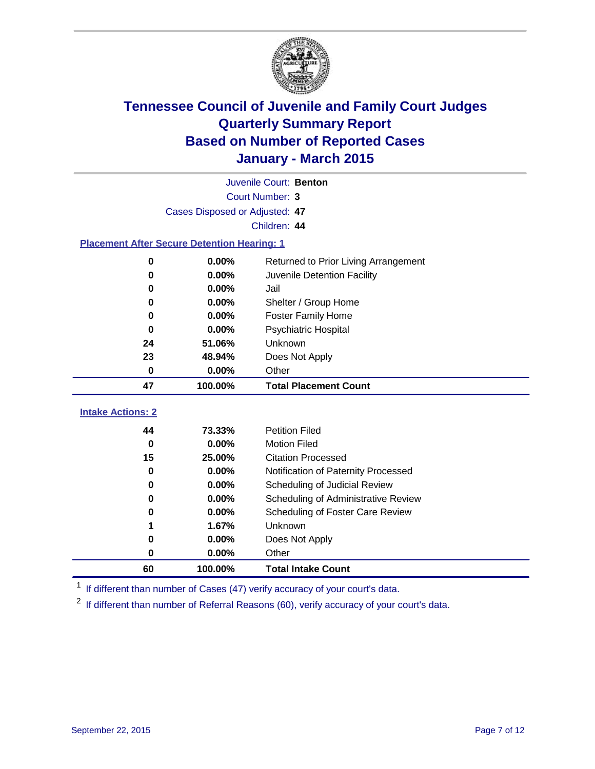

|                                                    | Juvenile Court: Benton         |                                                                      |  |  |
|----------------------------------------------------|--------------------------------|----------------------------------------------------------------------|--|--|
|                                                    | Court Number: 3                |                                                                      |  |  |
|                                                    | Cases Disposed or Adjusted: 47 |                                                                      |  |  |
|                                                    |                                | Children: 44                                                         |  |  |
| <b>Placement After Secure Detention Hearing: 1</b> |                                |                                                                      |  |  |
| $\bf{0}$                                           | 0.00%                          | Returned to Prior Living Arrangement                                 |  |  |
| 0                                                  | 0.00%                          | Juvenile Detention Facility                                          |  |  |
| 0                                                  | 0.00%                          | Jail                                                                 |  |  |
| 0                                                  | 0.00%                          | Shelter / Group Home                                                 |  |  |
| 0                                                  | 0.00%                          | <b>Foster Family Home</b>                                            |  |  |
| $\bf{0}$                                           | 0.00%                          | Psychiatric Hospital                                                 |  |  |
| 24                                                 | 51.06%                         | Unknown                                                              |  |  |
| 23                                                 | 48.94%                         | Does Not Apply                                                       |  |  |
| 0                                                  | 0.00%                          | Other                                                                |  |  |
| 47                                                 | 100.00%                        | <b>Total Placement Count</b>                                         |  |  |
|                                                    |                                |                                                                      |  |  |
|                                                    |                                |                                                                      |  |  |
| <b>Intake Actions: 2</b>                           |                                |                                                                      |  |  |
| 44                                                 | 73.33%                         | <b>Petition Filed</b>                                                |  |  |
| $\bf{0}$<br>15                                     | 0.00%<br>25.00%                | <b>Motion Filed</b><br><b>Citation Processed</b>                     |  |  |
| $\bf{0}$                                           | 0.00%                          |                                                                      |  |  |
| 0                                                  | 0.00%                          | Notification of Paternity Processed<br>Scheduling of Judicial Review |  |  |
| 0                                                  | 0.00%                          | Scheduling of Administrative Review                                  |  |  |
| 0                                                  | 0.00%                          | <b>Scheduling of Foster Care Review</b>                              |  |  |
| 1                                                  | 1.67%                          | Unknown                                                              |  |  |
| 0                                                  | 0.00%                          | Does Not Apply                                                       |  |  |
| 0                                                  | 0.00%                          | Other                                                                |  |  |

<sup>1</sup> If different than number of Cases (47) verify accuracy of your court's data.

<sup>2</sup> If different than number of Referral Reasons (60), verify accuracy of your court's data.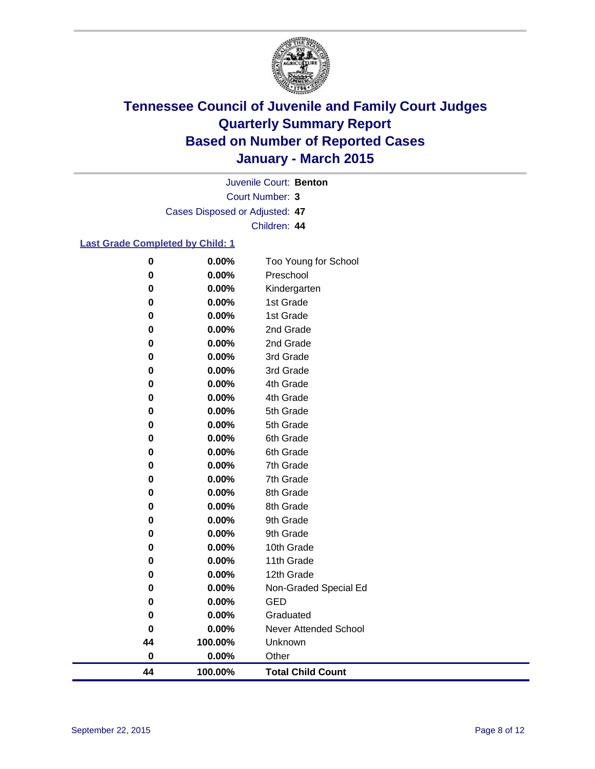

Court Number: **3** Juvenile Court: **Benton** Cases Disposed or Adjusted: **47** Children: **44**

### **Last Grade Completed by Child: 1**

| 0        | 0.00%   | 8th Grade                    |
|----------|---------|------------------------------|
|          |         |                              |
| 0        | 0.00%   | 8th Grade                    |
|          |         |                              |
|          |         |                              |
|          |         |                              |
|          |         |                              |
|          |         |                              |
|          |         |                              |
|          |         |                              |
|          |         |                              |
|          |         |                              |
|          |         |                              |
|          |         |                              |
|          |         |                              |
| 0        | 0.00%   | 9th Grade                    |
|          |         |                              |
|          |         |                              |
| 0        | 0.00%   | 9th Grade                    |
|          |         |                              |
| $\bf{0}$ | 0.00%   | 10th Grade                   |
| 0        | 0.00%   | 11th Grade                   |
|          |         |                              |
| 0        | 0.00%   | 12th Grade                   |
|          |         |                              |
| 0        | 0.00%   | Non-Graded Special Ed        |
| 0        | 0.00%   | <b>GED</b>                   |
|          |         |                              |
| 0        | 0.00%   | Graduated                    |
|          |         |                              |
| 0        | 0.00%   | <b>Never Attended School</b> |
| 44       | 100.00% | Unknown                      |
|          |         |                              |
| $\bf{0}$ | 0.00%   | Other                        |
| 44       | 100.00% | <b>Total Child Count</b>     |
|          |         |                              |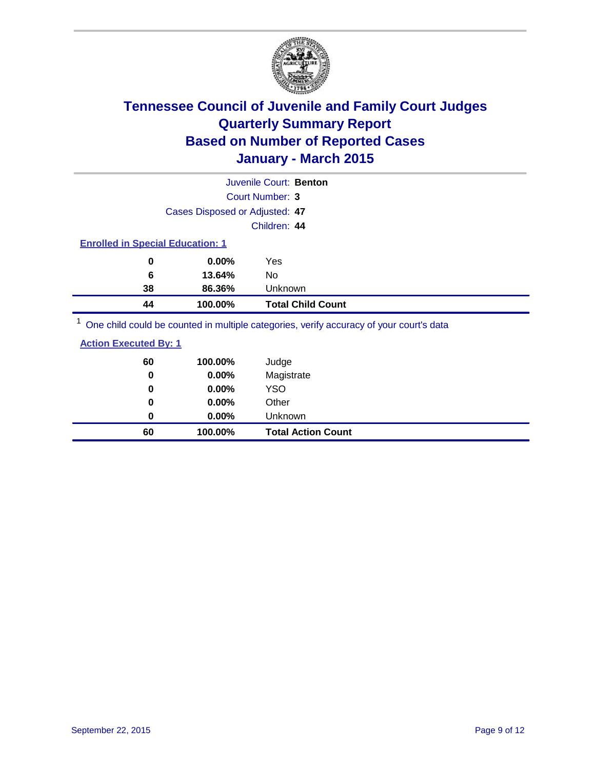

|                                                                                         |                                         | Juvenile Court: Benton   |  |  |  |
|-----------------------------------------------------------------------------------------|-----------------------------------------|--------------------------|--|--|--|
|                                                                                         |                                         | Court Number: 3          |  |  |  |
|                                                                                         | Cases Disposed or Adjusted: 47          |                          |  |  |  |
|                                                                                         |                                         | Children: 44             |  |  |  |
|                                                                                         | <b>Enrolled in Special Education: 1</b> |                          |  |  |  |
| 0                                                                                       | $0.00\%$                                | Yes                      |  |  |  |
| 6                                                                                       | 13.64%                                  | No                       |  |  |  |
| 38                                                                                      | 86.36%                                  | Unknown                  |  |  |  |
| 44                                                                                      | 100.00%                                 | <b>Total Child Count</b> |  |  |  |
| One child could be counted in multiple categories, verify accuracy of your court's data |                                         |                          |  |  |  |

| <b>Action Executed By: 1</b> |
|------------------------------|
|------------------------------|

| 60<br>0 | 100.00%<br>0.00% | Judge<br>Magistrate       |
|---------|------------------|---------------------------|
| 0       | $0.00\%$         | <b>YSO</b>                |
| 0       | 0.00%            | Other                     |
| 0       | $0.00\%$         | Unknown                   |
| 60      | 100.00%          | <b>Total Action Count</b> |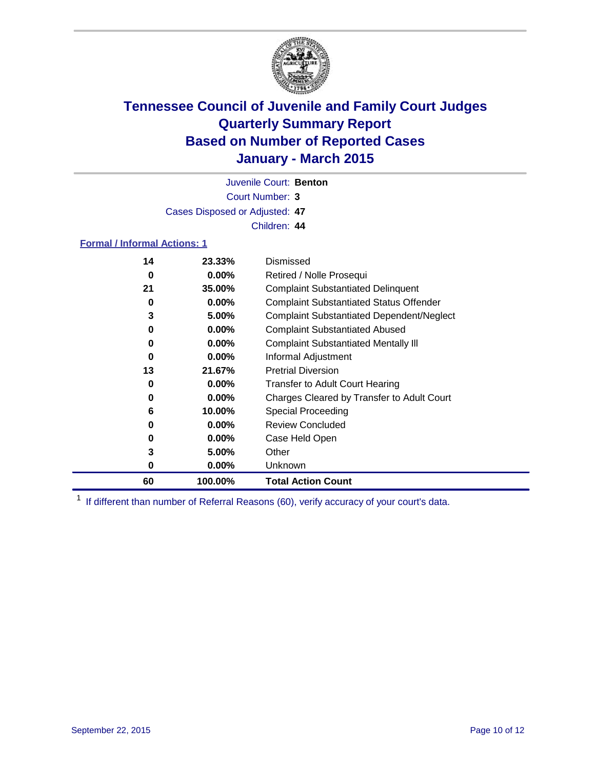

Court Number: **3** Juvenile Court: **Benton** Cases Disposed or Adjusted: **47** Children: **44**

### **Formal / Informal Actions: 1**

| 14 | 23.33%   | Dismissed                                        |
|----|----------|--------------------------------------------------|
| 0  | $0.00\%$ | Retired / Nolle Prosequi                         |
| 21 | 35.00%   | <b>Complaint Substantiated Delinquent</b>        |
| 0  | $0.00\%$ | <b>Complaint Substantiated Status Offender</b>   |
| 3  | 5.00%    | <b>Complaint Substantiated Dependent/Neglect</b> |
| 0  | $0.00\%$ | <b>Complaint Substantiated Abused</b>            |
| 0  | $0.00\%$ | <b>Complaint Substantiated Mentally III</b>      |
| 0  | $0.00\%$ | Informal Adjustment                              |
| 13 | 21.67%   | <b>Pretrial Diversion</b>                        |
| 0  | $0.00\%$ | <b>Transfer to Adult Court Hearing</b>           |
| 0  | $0.00\%$ | Charges Cleared by Transfer to Adult Court       |
| 6  | 10.00%   | Special Proceeding                               |
| 0  | $0.00\%$ | <b>Review Concluded</b>                          |
| 0  | $0.00\%$ | Case Held Open                                   |
| 3  | 5.00%    | Other                                            |
| 0  | $0.00\%$ | <b>Unknown</b>                                   |
| 60 | 100.00%  | <b>Total Action Count</b>                        |

<sup>1</sup> If different than number of Referral Reasons (60), verify accuracy of your court's data.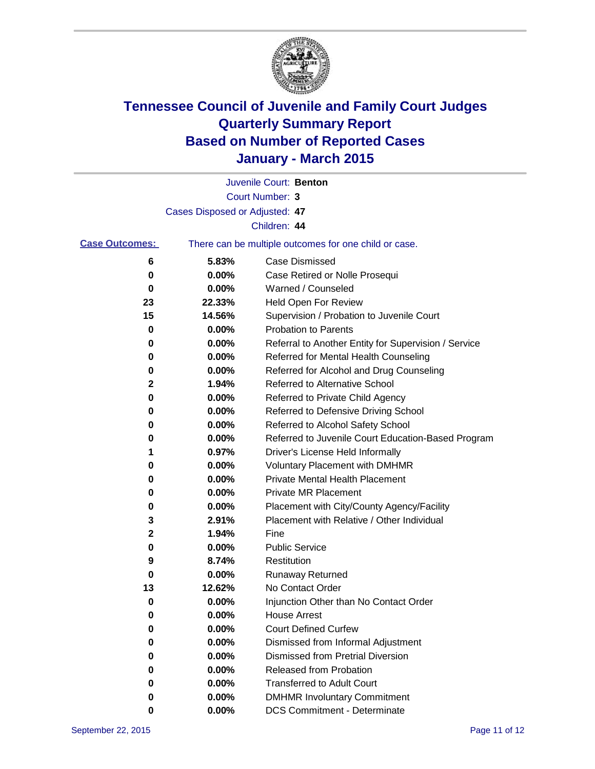

|                       |                                | Juvenile Court: Benton                                |
|-----------------------|--------------------------------|-------------------------------------------------------|
|                       |                                | Court Number: 3                                       |
|                       | Cases Disposed or Adjusted: 47 |                                                       |
|                       |                                | Children: 44                                          |
| <b>Case Outcomes:</b> |                                | There can be multiple outcomes for one child or case. |
| 6                     | 5.83%                          | <b>Case Dismissed</b>                                 |
| 0                     | 0.00%                          | Case Retired or Nolle Prosequi                        |
| 0                     | 0.00%                          | Warned / Counseled                                    |
| 23                    | 22.33%                         | Held Open For Review                                  |
| 15                    | 14.56%                         | Supervision / Probation to Juvenile Court             |
| 0                     | 0.00%                          | <b>Probation to Parents</b>                           |
| 0                     | 0.00%                          | Referral to Another Entity for Supervision / Service  |
| 0                     | 0.00%                          | Referred for Mental Health Counseling                 |
| 0                     | 0.00%                          | Referred for Alcohol and Drug Counseling              |
| $\mathbf 2$           | 1.94%                          | <b>Referred to Alternative School</b>                 |
| 0                     | 0.00%                          | Referred to Private Child Agency                      |
| 0                     | 0.00%                          | Referred to Defensive Driving School                  |
| 0                     | 0.00%                          | Referred to Alcohol Safety School                     |
| 0                     | 0.00%                          | Referred to Juvenile Court Education-Based Program    |
| 1                     | 0.97%                          | Driver's License Held Informally                      |
| 0                     | 0.00%                          | <b>Voluntary Placement with DMHMR</b>                 |
| 0                     | 0.00%                          | <b>Private Mental Health Placement</b>                |
| 0                     | 0.00%                          | <b>Private MR Placement</b>                           |
| 0                     | 0.00%                          | Placement with City/County Agency/Facility            |
| 3                     | 2.91%                          | Placement with Relative / Other Individual            |
| $\mathbf{2}$          | 1.94%                          | Fine                                                  |
| 0                     | 0.00%                          | <b>Public Service</b>                                 |
| 9                     | 8.74%                          | Restitution                                           |
| 0                     | 0.00%                          | <b>Runaway Returned</b>                               |
| 13                    | 12.62%                         | No Contact Order                                      |
| 0                     | 0.00%                          | Injunction Other than No Contact Order                |
| 0                     | 0.00%                          | <b>House Arrest</b>                                   |
| 0                     | 0.00%                          | <b>Court Defined Curfew</b>                           |
| 0                     | 0.00%                          | Dismissed from Informal Adjustment                    |
| 0                     | 0.00%                          | Dismissed from Pretrial Diversion                     |
| 0                     | 0.00%                          | Released from Probation                               |
| 0                     | 0.00%                          | <b>Transferred to Adult Court</b>                     |
| 0                     | 0.00%                          | <b>DMHMR Involuntary Commitment</b>                   |
| 0                     | 0.00%                          | <b>DCS Commitment - Determinate</b>                   |